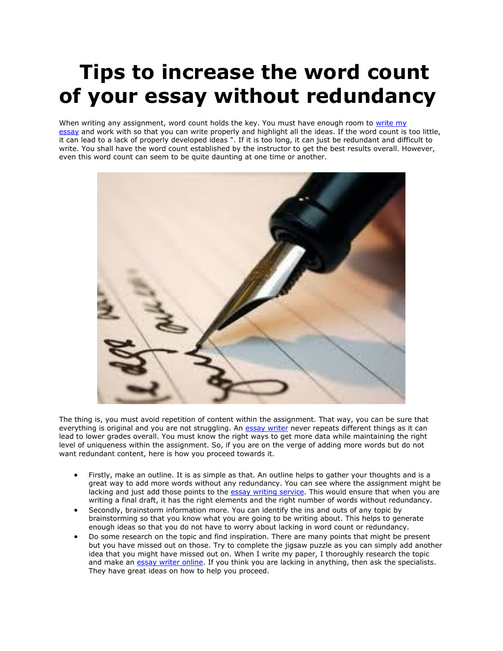## **Tips to increase the word count of your essay without redundancy**

When writing any assignment, word count holds the key. You must have enough room to write my [essay](https://www.5staressays.com/) and work with so that you can write properly and highlight all the ideas. If the word count is too little, it can lead to a lack of properly developed ideas ". If it is too long, it can just be redundant and difficult to write. You shall have the word count established by the instructor to get the best results overall. However, even this word count can seem to be quite daunting at one time or another.



The thing is, you must avoid repetition of content within the assignment. That way, you can be sure that everything is original and you are not struggling. An [essay writer](https://www.myperfectwords.com/) never repeats different things as it can lead to lower grades overall. You must know the right ways to get more data while maintaining the right level of uniqueness within the assignment. So, if you are on the verge of adding more words but do not want redundant content, here is how you proceed towards it.

- Firstly, make an outline. It is as simple as that. An outline helps to gather your thoughts and is a great way to add more words without any redundancy. You can see where the assignment might be lacking and just add those points to the [essay writing service.](https://www.myperfectpaper.net/) This would ensure that when you are writing a final draft, it has the right elements and the right number of words without redundancy.
- Secondly, brainstorm information more. You can identify the ins and outs of any topic by brainstorming so that you know what you are going to be writing about. This helps to generate enough ideas so that you do not have to worry about lacking in word count or redundancy.
- Do some research on the topic and find inspiration. There are many points that might be present but you have missed out on those. Try to complete the jigsaw puzzle as you can simply add another idea that you might have missed out on. When I write my paper, I thoroughly research the topic and make an [essay writer online.](https://www.collegeessay.org/) If you think you are lacking in anything, then ask the specialists. They have great ideas on how to help you proceed.